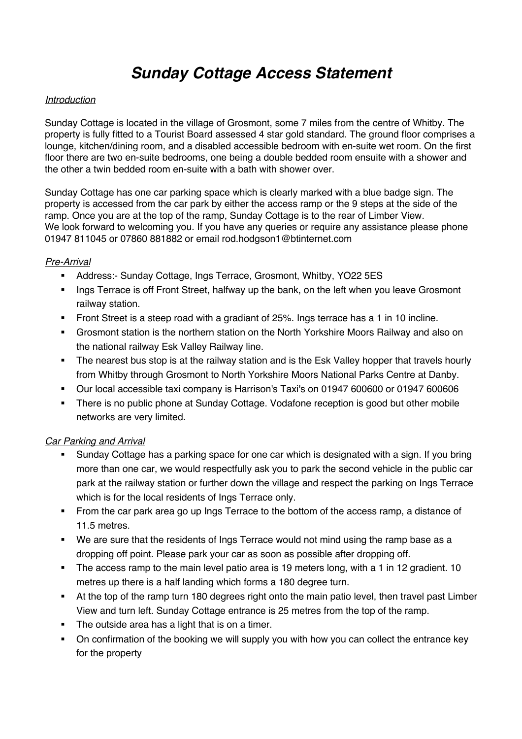# *Sunday Cottage Access Statement*

#### *Introduction*

Sunday Cottage is located in the village of Grosmont, some 7 miles from the centre of Whitby. The property is fully fitted to a Tourist Board assessed 4 star gold standard. The ground floor comprises a lounge, kitchen/dining room, and a disabled accessible bedroom with en-suite wet room. On the first floor there are two en-suite bedrooms, one being a double bedded room ensuite with a shower and the other a twin bedded room en-suite with a bath with shower over.

Sunday Cottage has one car parking space which is clearly marked with a blue badge sign. The property is accessed from the car park by either the access ramp or the 9 steps at the side of the ramp. Once you are at the top of the ramp, Sunday Cottage is to the rear of Limber View. We look forward to welcoming you. If you have any queries or require any assistance please phone 01947 811045 or 07860 881882 or email rod.hodgson1@btinternet.com

#### *Pre-Arrival*

- § Address:- Sunday Cottage, Ings Terrace, Grosmont, Whitby, YO22 5ES
- Ings Terrace is off Front Street, halfway up the bank, on the left when you leave Grosmont railway station.
- Front Street is a steep road with a gradiant of 25%. Ings terrace has a 1 in 10 incline.
- Grosmont station is the northern station on the North Yorkshire Moors Railway and also on the national railway Esk Valley Railway line.
- The nearest bus stop is at the railway station and is the Esk Valley hopper that travels hourly from Whitby through Grosmont to North Yorkshire Moors National Parks Centre at Danby.
- § Our local accessible taxi company is Harrison's Taxi's on 01947 600600 or 01947 600606
- There is no public phone at Sunday Cottage. Vodafone reception is good but other mobile networks are very limited.

## *Car Parking and Arrival*

- § Sunday Cottage has a parking space for one car which is designated with a sign. If you bring more than one car, we would respectfully ask you to park the second vehicle in the public car park at the railway station or further down the village and respect the parking on Ings Terrace which is for the local residents of Ings Terrace only.
- From the car park area go up Ings Terrace to the bottom of the access ramp, a distance of 11.5 metres.
- We are sure that the residents of lngs Terrace would not mind using the ramp base as a dropping off point. Please park your car as soon as possible after dropping off.
- The access ramp to the main level patio area is 19 meters long, with a 1 in 12 gradient. 10 metres up there is a half landing which forms a 180 degree turn.
- At the top of the ramp turn 180 degrees right onto the main patio level, then travel past Limber View and turn left. Sunday Cottage entrance is 25 metres from the top of the ramp.
- The outside area has a light that is on a timer.
- § On confirmation of the booking we will supply you with how you can collect the entrance key for the property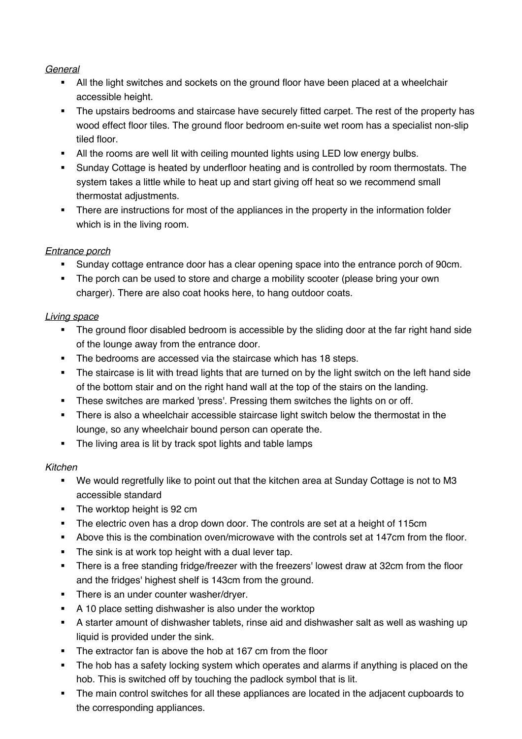## *General*

- All the light switches and sockets on the ground floor have been placed at a wheelchair accessible height.
- The upstairs bedrooms and staircase have securely fitted carpet. The rest of the property has wood effect floor tiles. The ground floor bedroom en-suite wet room has a specialist non-slip tiled floor.
- All the rooms are well lit with ceiling mounted lights using LED low energy bulbs.
- **•** Sunday Cottage is heated by underfloor heating and is controlled by room thermostats. The system takes a little while to heat up and start giving off heat so we recommend small thermostat adjustments.
- There are instructions for most of the appliances in the property in the information folder which is in the living room.

# *Entrance porch*

- § Sunday cottage entrance door has a clear opening space into the entrance porch of 90cm.
- The porch can be used to store and charge a mobility scooter (please bring your own charger). There are also coat hooks here, to hang outdoor coats.

# *Living space*

- The ground floor disabled bedroom is accessible by the sliding door at the far right hand side of the lounge away from the entrance door.
- The bedrooms are accessed via the staircase which has 18 steps.
- The staircase is lit with tread lights that are turned on by the light switch on the left hand side of the bottom stair and on the right hand wall at the top of the stairs on the landing.
- § These switches are marked 'press'. Pressing them switches the lights on or off.
- **•** There is also a wheelchair accessible staircase light switch below the thermostat in the lounge, so any wheelchair bound person can operate the.
- The living area is lit by track spot lights and table lamps

# *Kitchen*

- § We would regretfully like to point out that the kitchen area at Sunday Cottage is not to M3 accessible standard
- The worktop height is 92 cm
- The electric oven has a drop down door. The controls are set at a height of 115cm
- Above this is the combination oven/microwave with the controls set at 147cm from the floor.
- The sink is at work top height with a dual lever tap.
- There is a free standing fridge/freezer with the freezers' lowest draw at 32cm from the floor and the fridges' highest shelf is 143cm from the ground.
- There is an under counter washer/drver.
- § A 10 place setting dishwasher is also under the worktop
- A starter amount of dishwasher tablets, rinse aid and dishwasher salt as well as washing up liquid is provided under the sink.
- The extractor fan is above the hob at 167 cm from the floor
- The hob has a safety locking system which operates and alarms if anything is placed on the hob. This is switched off by touching the padlock symbol that is lit.
- The main control switches for all these appliances are located in the adjacent cupboards to the corresponding appliances.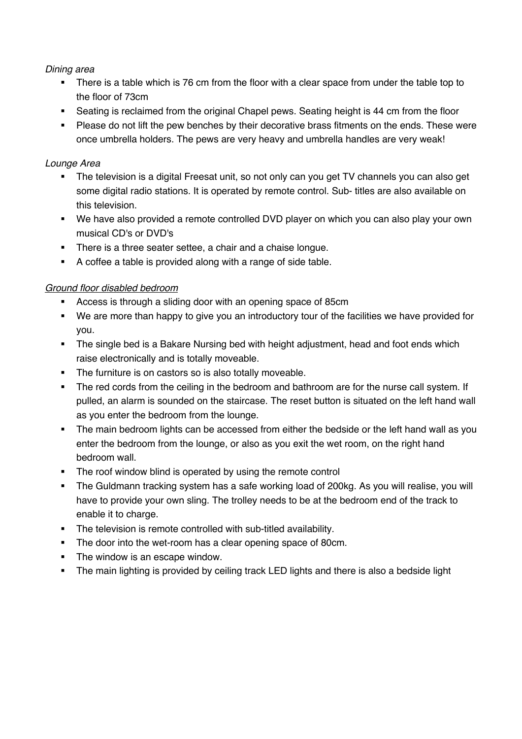### *Dining area*

- There is a table which is 76 cm from the floor with a clear space from under the table top to the floor of 73cm
- Seating is reclaimed from the original Chapel pews. Seating height is 44 cm from the floor
- Please do not lift the pew benches by their decorative brass fitments on the ends. These were once umbrella holders. The pews are very heavy and umbrella handles are very weak!

## *Lounge Area*

- The television is a digital Freesat unit, so not only can you get TV channels you can also get some digital radio stations. It is operated by remote control. Sub- titles are also available on this television.
- § We have also provided a remote controlled DVD player on which you can also play your own musical CD's or DVD's
- There is a three seater settee, a chair and a chaise longue.
- A coffee a table is provided along with a range of side table.

#### *Ground floor disabled bedroom*

- Access is through a sliding door with an opening space of 85cm
- We are more than happy to give you an introductory tour of the facilities we have provided for you.
- The single bed is a Bakare Nursing bed with height adjustment, head and foot ends which raise electronically and is totally moveable.
- The furniture is on castors so is also totally moveable.
- The red cords from the ceiling in the bedroom and bathroom are for the nurse call system. If pulled, an alarm is sounded on the staircase. The reset button is situated on the left hand wall as you enter the bedroom from the lounge.
- The main bedroom lights can be accessed from either the bedside or the left hand wall as you enter the bedroom from the lounge, or also as you exit the wet room, on the right hand bedroom wall.
- The roof window blind is operated by using the remote control
- The Guldmann tracking system has a safe working load of 200kg. As you will realise, you will have to provide your own sling. The trolley needs to be at the bedroom end of the track to enable it to charge.
- **•** The television is remote controlled with sub-titled availability.
- The door into the wet-room has a clear opening space of 80cm.
- The window is an escape window.
- The main lighting is provided by ceiling track LED lights and there is also a bedside light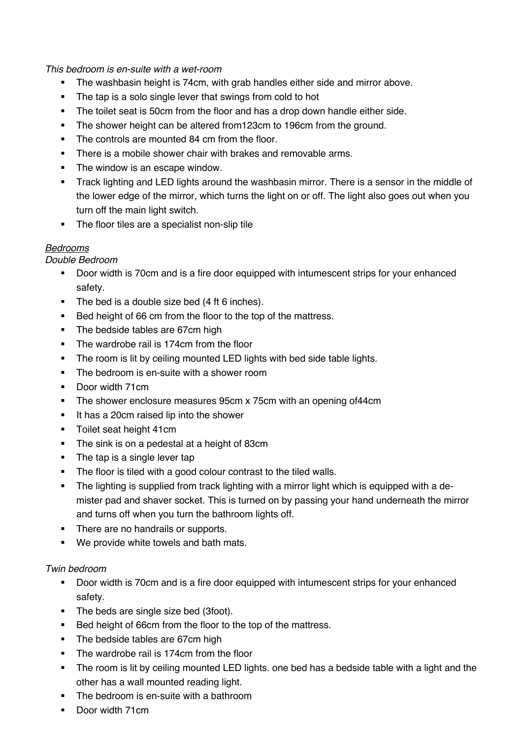*This bedroom is en-suite with a wet-room*

- The washbasin height is 74cm, with grab handles either side and mirror above.
- The tap is a solo single lever that swings from cold to hot
- The toilet seat is 50cm from the floor and has a drop down handle either side.
- The shower height can be altered from 123cm to 196cm from the ground.
- The controls are mounted 84 cm from the floor.
- There is a mobile shower chair with brakes and removable arms.
- The window is an escape window.
- Track lighting and LED lights around the washbasin mirror. There is a sensor in the middle of the lower edge of the mirror, which turns the light on or off. The light also goes out when you turn off the main light switch.
- The floor tiles are a specialist non-slip tile

# *Bedrooms*

*Double Bedroom*

- § Door width is 70cm and is a fire door equipped with intumescent strips for your enhanced safety.
- The bed is a double size bed (4 ft 6 inches).
- Bed height of 66 cm from the floor to the top of the mattress.
- The bedside tables are 67cm high
- The wardrobe rail is 174cm from the floor
- The room is lit by ceiling mounted LED lights with bed side table lights.
- The bedroom is en-suite with a shower room
- Door width 71cm
- The shower enclosure measures 95cm x 75cm with an opening of 44cm
- It has a 20cm raised lip into the shower
- Toilet seat height 41cm
- The sink is on a pedestal at a height of 83cm
- The tap is a single lever tap
- The floor is tiled with a good colour contrast to the tiled walls.
- The lighting is supplied from track lighting with a mirror light which is equipped with a demister pad and shaver socket. This is turned on by passing your hand underneath the mirror and turns off when you turn the bathroom lights off.
- There are no handrails or supports.
- We provide white towels and bath mats.

## *Twin bedroom*

- § Door width is 70cm and is a fire door equipped with intumescent strips for your enhanced safety.
- The beds are single size bed (3foot).
- Bed height of 66cm from the floor to the top of the mattress.
- The bedside tables are 67cm high
- The wardrobe rail is 174cm from the floor
- The room is lit by ceiling mounted LED lights, one bed has a bedside table with a light and the other has a wall mounted reading light.
- The bedroom is en-suite with a bathroom
- § Door width 71cm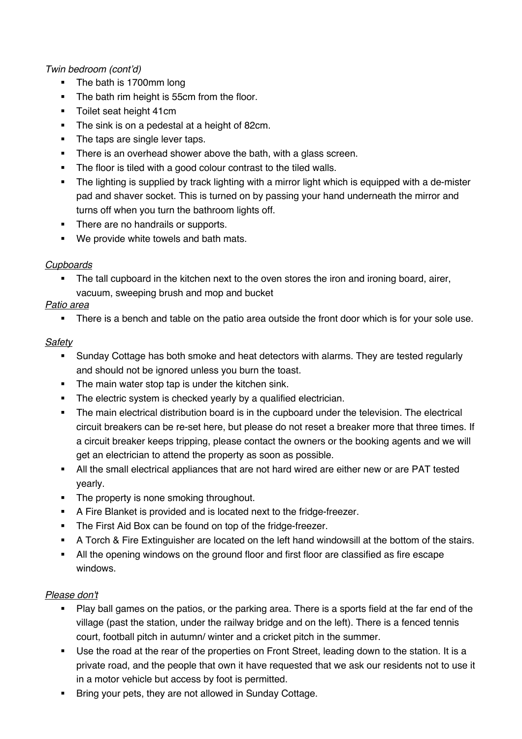# *Twin bedroom (cont'd)*

- The bath is 1700mm long
- The bath rim height is 55cm from the floor.
- **•** Toilet seat height 41cm
- The sink is on a pedestal at a height of 82cm.
- The taps are single lever taps.
- There is an overhead shower above the bath, with a glass screen.
- The floor is tiled with a good colour contrast to the tiled walls.
- The lighting is supplied by track lighting with a mirror light which is equipped with a de-mister pad and shaver socket. This is turned on by passing your hand underneath the mirror and turns off when you turn the bathroom lights off.
- There are no handrails or supports.
- We provide white towels and bath mats.

# *Cupboards*

The tall cupboard in the kitchen next to the oven stores the iron and ironing board, airer, vacuum, sweeping brush and mop and bucket

# *Patio area*

• There is a bench and table on the patio area outside the front door which is for your sole use.

# *Safety*

- Sunday Cottage has both smoke and heat detectors with alarms. They are tested regularly and should not be ignored unless you burn the toast.
- The main water stop tap is under the kitchen sink.
- The electric system is checked yearly by a qualified electrician.
- The main electrical distribution board is in the cupboard under the television. The electrical circuit breakers can be re-set here, but please do not reset a breaker more that three times. If a circuit breaker keeps tripping, please contact the owners or the booking agents and we will get an electrician to attend the property as soon as possible.
- **All the small electrical appliances that are not hard wired are either new or are PAT tested** yearly.
- The property is none smoking throughout.
- A Fire Blanket is provided and is located next to the fridge-freezer.
- The First Aid Box can be found on top of the fridge-freezer.
- A Torch & Fire Extinguisher are located on the left hand windowsill at the bottom of the stairs.
- § All the opening windows on the ground floor and first floor are classified as fire escape windows.

## *Please don't*

- Play ball games on the patios, or the parking area. There is a sports field at the far end of the village (past the station, under the railway bridge and on the left). There is a fenced tennis court, football pitch in autumn/ winter and a cricket pitch in the summer.
- Use the road at the rear of the properties on Front Street, leading down to the station. It is a private road, and the people that own it have requested that we ask our residents not to use it in a motor vehicle but access by foot is permitted.
- Bring your pets, they are not allowed in Sunday Cottage.